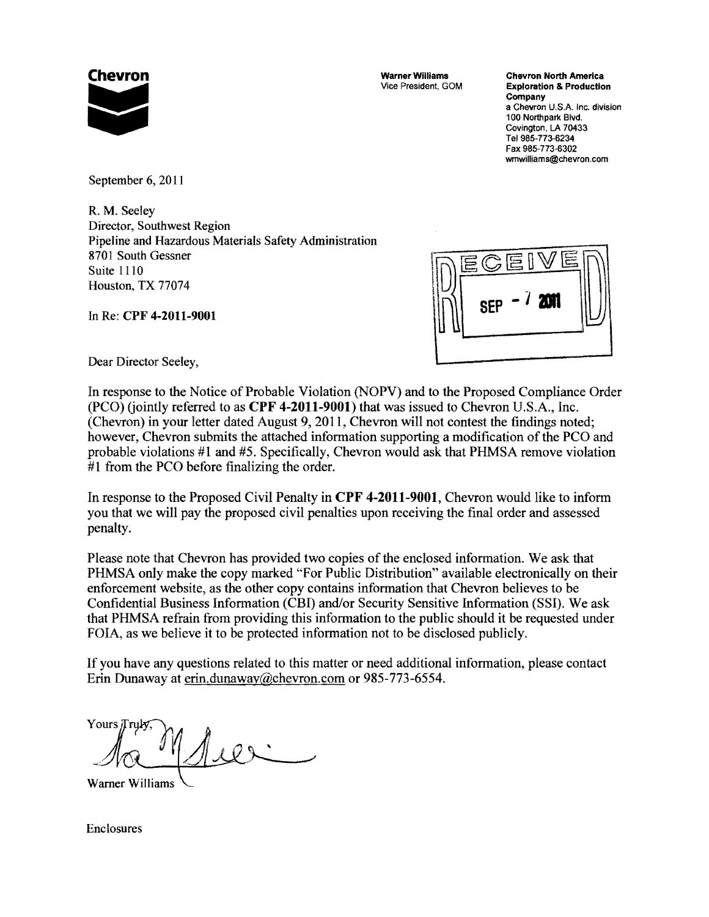

**Chevron Chevron Chevron Chevron Chevron Chevron North America**<br>Vice President, GOM Exploration & Production **Exploration & Production** Company a Chevron U.S.A. Inc. division<br>100 Northpark Blvd. **Company**<br>
a Chevron U.S.A. In<br>
100 Northpark Blvd.<br>
Covington, LA 7043<br>
Tel 985-773-6234<br>
Fax 985-773-6302<br>
wmwilliams@chevro Covington, LA 70433 Tel 985-773-6234 Fax 985-773-6302 wmwilliams@ehevron.com

September 6, 2011

R. M. Seeley Director, Southwest Region Pipeline and Hazardous Materials Safety Administration 8701 South Gessner Director, Southwest Region<br>Pipeline and Hazardous Materials Safety Administration<br>8701 South Gessner<br>Suite 1110<br>Houston, TX 77074 Houston, TX 77074

In Re: CPF 4-2011-9001

| 扈<br>$\widetilde{2}$ E<br>$\Xi$ |  |
|---------------------------------|--|
| M<br>SEI                        |  |
|                                 |  |

Dear Director Seeley,

In response to the Notice of Probable Violation (NOPV) and to the Proposed Compliance Order  $(PCO)$  (jointly referred to as  $\mathbf{CPF}$  4-2011-9001) that was issued to Chevron U.S.A., Inc. (Chevron) in your letter dated August 9, 2011, Chevron will not contest the findings noted; however, Chevron submits the attached information supporting a modification of the PCO and probable violations #1 and #5. Specifically, Chevron would ask that PHMSA remove violation #1 from the PCO before finalizing the order.

In response to the Proposed Civil Penalty in CPF 4-2011-9001, Chevron would like to inform you that we will pay the proposed civil penalties upon receiving the final order and assessed penalty.

Please note that Chevron has provided two copies of the enclosed information. We ask that PHMSA only make the copy marked "For Public Distribution" available electronically on their enforcement website, as the other copy contains information that Chevron believes to be Confidential Business Information (CBI) and/or Security Sensitive Information (SSI). We ask that PHMSA refrain from providing this information to the public should it be requested under FOIA, as we believe it to be protected information not to be disclosed publicly.

If you have any questions related to this matter or need additional information, please contact Erin Dunaway at erin.dunaway@chevron.com or 985-773-6554.

Yours Truk

**Warner Williams** 

Enclosures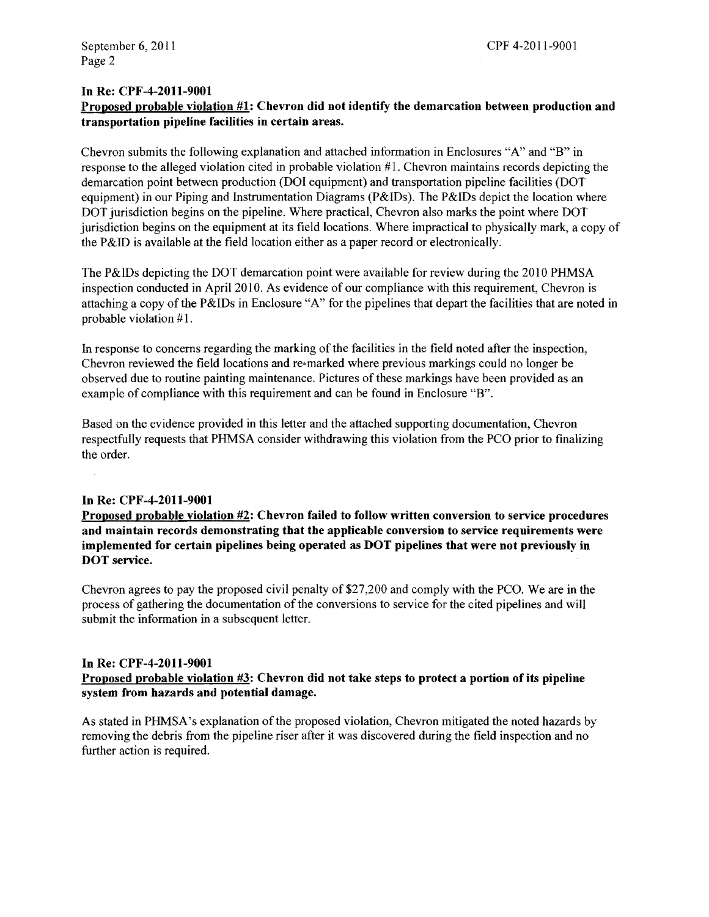### In Re: CPF-4-2011-9001

# Proposed probable violation #1: Chevron did not identify the demarcation between production and transportation pipeline facilities in certain areas.

Chevron submits the following explanation and attached information in Enclosures "A" and "B" in response to the alleged violation cited in probable violation  $#1$ . Chevron maintains records depicting the demarcation point between production (DOl equipment) and transportation pipeline facilities (DOT equipment) in our Piping and Instrumentation Diagrams (P&IDs). The P&IDs depict the location where DOT jurisdiction begins on the pipeline. Where practical, Chevron also marks the point where DOT jurisdiction begins on the equipment at its field locations. Where impractical to physically mark, a copy of the P&ID is available at the field location either as a paper record or electronically.

The P&IDs depicting the DOT demarcation point were available for review during the 2010 PHMSA inspection conducted in April 2010. As evidence of our compliance with this requirement, Chevron is attaching a copy ofthe P&IDs in Enclosure "A" for the pipelines that depart the facilities that are noted in probable violation #1.

In response to concerns regarding the marking of the facilities in the field noted after the inspection, Chevron reviewed the field locations and re-marked where previous markings could no longer be observed due to routine painting maintenance. Pictures of these markings have been provided as an example of compliance with this requirement and can be found in Enclosure "B".

Based on the evidence provided in this letter and the attached supporting documentation, Chevron respectfully requests that PHMSA consider withdrawing this violation from the PCO prior to finalizing the order.

### In Re: CPF-4-2011-9001

Proposed probable violation #2: Chevron failed to follow written conversion to service procedures and maintain records demonstrating that the applicable conversion to service requirements were implemented for certain pipelines being operated as DOT pipelines that were not previously in DOT service.

Chevron agrees to pay the proposed civil penalty of \$27,200 and comply with the PCO. We are in the process of gathering the documentation of the conversions to service for the cited pipelines and will submit the information in a subsequent letter.

### In Re: CPF-4-2011-9001

### Proposed probable violation #3: Chevron did not take steps to protect a portion of its pipeline system from hazards and potential damage.

As stated in PHMSA's explanation of the proposed violation, Chevron mitigated the noted hazards by removing the debris from the pipeline riser after it was discovered during the field inspection and no further action is required.